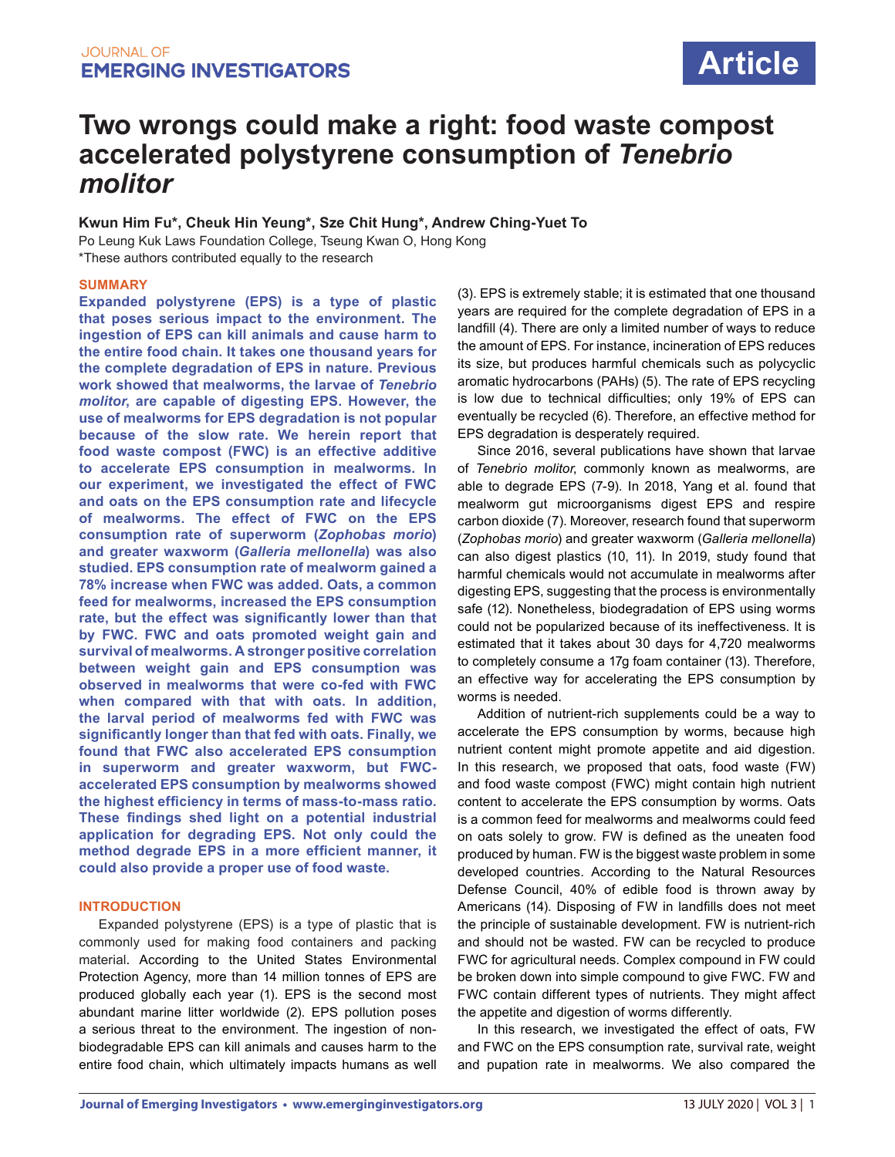

# **Two wrongs could make a right: food waste compost accelerated polystyrene consumption of** *Tenebrio molitor*

**Kwun Him Fu\*, Cheuk Hin Yeung\*, Sze Chit Hung\*, Andrew Ching-Yuet To**

Po Leung Kuk Laws Foundation College, Tseung Kwan O, Hong Kong

\*These authors contributed equally to the research

# **SUMMARY**

**Expanded polystyrene (EPS) is a type of plastic that poses serious impact to the environment. The ingestion of EPS can kill animals and cause harm to the entire food chain. It takes one thousand years for the complete degradation of EPS in nature. Previous work showed that mealworms, the larvae of** *Tenebrio molitor***, are capable of digesting EPS. However, the use of mealworms for EPS degradation is not popular because of the slow rate. We herein report that food waste compost (FWC) is an effective additive to accelerate EPS consumption in mealworms. In our experiment, we investigated the effect of FWC and oats on the EPS consumption rate and lifecycle of mealworms. The effect of FWC on the EPS consumption rate of superworm (***Zophobas morio***) and greater waxworm (***Galleria mellonella***) was also studied. EPS consumption rate of mealworm gained a 78% increase when FWC was added. Oats, a common feed for mealworms, increased the EPS consumption rate, but the effect was significantly lower than that by FWC. FWC and oats promoted weight gain and survival of mealworms. A stronger positive correlation between weight gain and EPS consumption was observed in mealworms that were co-fed with FWC when compared with that with oats. In addition, the larval period of mealworms fed with FWC was significantly longer than that fed with oats. Finally, we found that FWC also accelerated EPS consumption in superworm and greater waxworm, but FWCaccelerated EPS consumption by mealworms showed the highest efficiency in terms of mass-to-mass ratio. These findings shed light on a potential industrial application for degrading EPS. Not only could the method degrade EPS in a more efficient manner, it could also provide a proper use of food waste.**

# **INTRODUCTION**

Expanded polystyrene (EPS) is a type of plastic that is commonly used for making food containers and packing material. According to the United States Environmental Protection Agency, more than 14 million tonnes of EPS are produced globally each year (1). EPS is the second most abundant marine litter worldwide (2). EPS pollution poses a serious threat to the environment. The ingestion of nonbiodegradable EPS can kill animals and causes harm to the entire food chain, which ultimately impacts humans as well (3). EPS is extremely stable; it is estimated that one thousand years are required for the complete degradation of EPS in a landfill (4). There are only a limited number of ways to reduce the amount of EPS. For instance, incineration of EPS reduces its size, but produces harmful chemicals such as polycyclic aromatic hydrocarbons (PAHs) (5). The rate of EPS recycling is low due to technical difficulties; only 19% of EPS can eventually be recycled (6). Therefore, an effective method for EPS degradation is desperately required.

Since 2016, several publications have shown that larvae of *Tenebrio molitor*, commonly known as mealworms, are able to degrade EPS (7-9). In 2018, Yang et al. found that mealworm gut microorganisms digest EPS and respire carbon dioxide (7). Moreover, research found that superworm (*Zophobas morio*) and greater waxworm (*Galleria mellonella*) can also digest plastics (10, 11). In 2019, study found that harmful chemicals would not accumulate in mealworms after digesting EPS, suggesting that the process is environmentally safe (12). Nonetheless, biodegradation of EPS using worms could not be popularized because of its ineffectiveness. It is estimated that it takes about 30 days for 4,720 mealworms to completely consume a 17g foam container (13). Therefore, an effective way for accelerating the EPS consumption by worms is needed.

Addition of nutrient-rich supplements could be a way to accelerate the EPS consumption by worms, because high nutrient content might promote appetite and aid digestion. In this research, we proposed that oats, food waste (FW) and food waste compost (FWC) might contain high nutrient content to accelerate the EPS consumption by worms. Oats is a common feed for mealworms and mealworms could feed on oats solely to grow. FW is defined as the uneaten food produced by human. FW is the biggest waste problem in some developed countries. According to the Natural Resources Defense Council, 40% of edible food is thrown away by Americans (14). Disposing of FW in landfills does not meet the principle of sustainable development. FW is nutrient-rich and should not be wasted. FW can be recycled to produce FWC for agricultural needs. Complex compound in FW could be broken down into simple compound to give FWC. FW and FWC contain different types of nutrients. They might affect the appetite and digestion of worms differently.

In this research, we investigated the effect of oats, FW and FWC on the EPS consumption rate, survival rate, weight and pupation rate in mealworms. We also compared the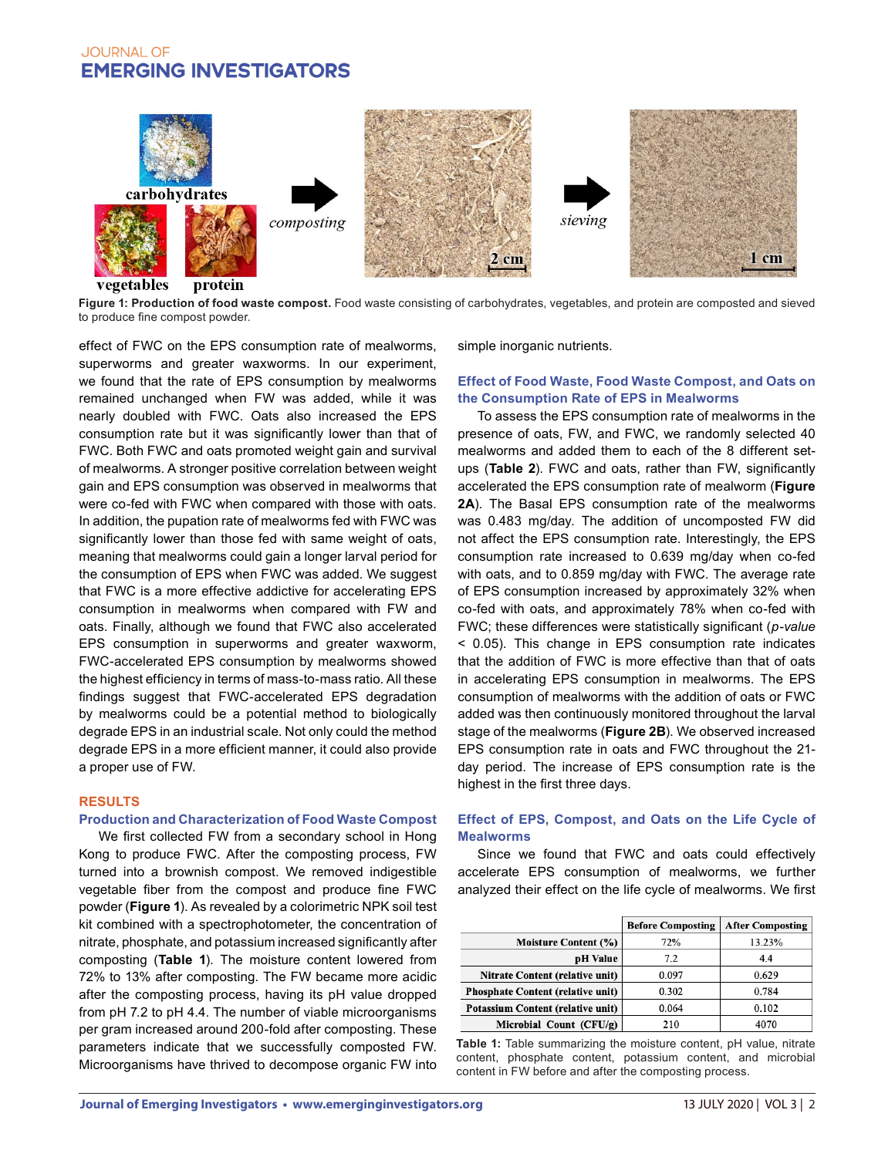

**Figure 1: Production of food waste compost.** Food waste consisting of carbohydrates, vegetables, and protein are composted and sieved to produce fine compost powder.

effect of FWC on the EPS consumption rate of mealworms, superworms and greater waxworms. In our experiment, we found that the rate of EPS consumption by mealworms remained unchanged when FW was added, while it was nearly doubled with FWC. Oats also increased the EPS consumption rate but it was significantly lower than that of FWC. Both FWC and oats promoted weight gain and survival of mealworms. A stronger positive correlation between weight gain and EPS consumption was observed in mealworms that were co-fed with FWC when compared with those with oats. In addition, the pupation rate of mealworms fed with FWC was significantly lower than those fed with same weight of oats, meaning that mealworms could gain a longer larval period for the consumption of EPS when FWC was added. We suggest that FWC is a more effective addictive for accelerating EPS consumption in mealworms when compared with FW and oats. Finally, although we found that FWC also accelerated EPS consumption in superworms and greater waxworm, FWC-accelerated EPS consumption by mealworms showed the highest efficiency in terms of mass-to-mass ratio. All these findings suggest that FWC-accelerated EPS degradation by mealworms could be a potential method to biologically degrade EPS in an industrial scale. Not only could the method degrade EPS in a more efficient manner, it could also provide a proper use of FW.

### **RESULTS**

# **Production and Characterization of Food Waste Compost**

We first collected FW from a secondary school in Hong Kong to produce FWC. After the composting process, FW turned into a brownish compost. We removed indigestible vegetable fiber from the compost and produce fine FWC powder (**Figure 1**). As revealed by a colorimetric NPK soil test kit combined with a spectrophotometer, the concentration of nitrate, phosphate, and potassium increased significantly after composting (**Table 1**). The moisture content lowered from 72% to 13% after composting. The FW became more acidic after the composting process, having its pH value dropped from pH 7.2 to pH 4.4. The number of viable microorganisms per gram increased around 200-fold after composting. These parameters indicate that we successfully composted FW. Microorganisms have thrived to decompose organic FW into simple inorganic nutrients.

# **Effect of Food Waste, Food Waste Compost, and Oats on the Consumption Rate of EPS in Mealworms**

To assess the EPS consumption rate of mealworms in the presence of oats, FW, and FWC, we randomly selected 40 mealworms and added them to each of the 8 different setups (**Table 2**). FWC and oats, rather than FW, significantly accelerated the EPS consumption rate of mealworm (**Figure 2A**). The Basal EPS consumption rate of the mealworms was 0.483 mg/day. The addition of uncomposted FW did not affect the EPS consumption rate. Interestingly, the EPS consumption rate increased to 0.639 mg/day when co-fed with oats, and to 0.859 mg/day with FWC. The average rate of EPS consumption increased by approximately 32% when co-fed with oats, and approximately 78% when co-fed with FWC; these differences were statistically significant (*p-value* < 0.05). This change in EPS consumption rate indicates that the addition of FWC is more effective than that of oats in accelerating EPS consumption in mealworms. The EPS consumption of mealworms with the addition of oats or FWC added was then continuously monitored throughout the larval stage of the mealworms (**Figure 2B**). We observed increased EPS consumption rate in oats and FWC throughout the 21 day period. The increase of EPS consumption rate is the highest in the first three days.

# **Effect of EPS, Compost, and Oats on the Life Cycle of Mealworms**

Since we found that FWC and oats could effectively accelerate EPS consumption of mealworms, we further analyzed their effect on the life cycle of mealworms. We first

|                                          | <b>Before Composting</b> | <b>After Composting</b> |
|------------------------------------------|--------------------------|-------------------------|
| <b>Moisture Content (%)</b>              | 72%                      | 13.23%                  |
| pH Value                                 | 7.2                      | 4.4                     |
| Nitrate Content (relative unit)          | 0.097                    | 0.629                   |
| <b>Phosphate Content (relative unit)</b> | 0.302                    | 0.784                   |
| Potassium Content (relative unit)        | 0.064                    | 0.102                   |
| Microbial Count (CFU/g)                  | 210                      | 4070                    |

**Table 1:** Table summarizing the moisture content, pH value, nitrate content, phosphate content, potassium content, and microbial content in FW before and after the composting process.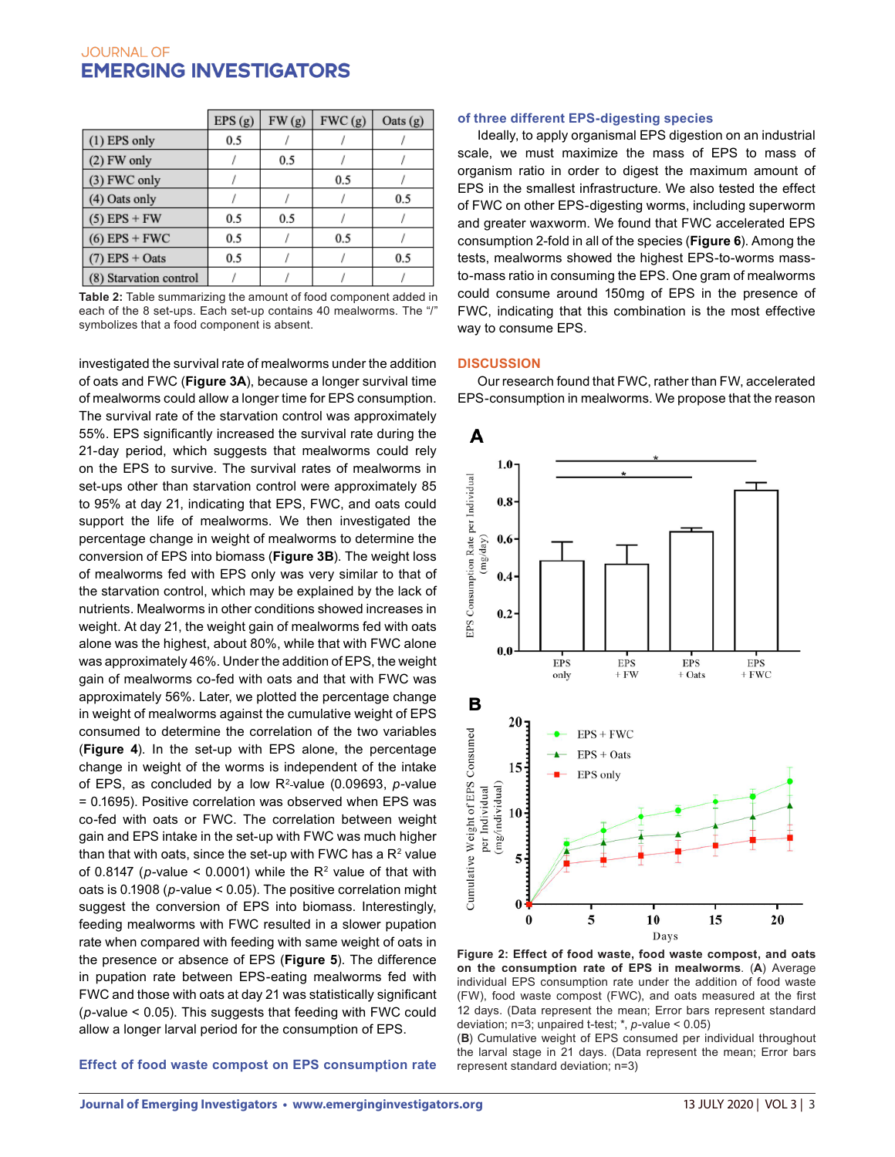|                        | EPS(g) | FW(g) | FWC(g) | $\text{Oats}\left(\text{g}\right)$ |
|------------------------|--------|-------|--------|------------------------------------|
| $(1)$ EPS only         | 0.5    |       |        |                                    |
| $(2)$ FW only          |        | 0.5   |        |                                    |
| (3) FWC only           |        |       | 0.5    |                                    |
| (4) Oats only          |        |       |        | 0.5                                |
| $(5)$ EPS + FW         | 0.5    | 0.5   |        |                                    |
| $(6)$ EPS + FWC        | 0.5    |       | 0.5    |                                    |
| $(7)$ EPS + Oats       | 0.5    |       |        | 0.5                                |
| (8) Starvation control |        |       |        |                                    |

**Table 2:** Table summarizing the amount of food component added in each of the 8 set-ups. Each set-up contains 40 mealworms. The "/" symbolizes that a food component is absent.

investigated the survival rate of mealworms under the addition of oats and FWC (**Figure 3A**), because a longer survival time of mealworms could allow a longer time for EPS consumption. The survival rate of the starvation control was approximately 55%. EPS significantly increased the survival rate during the 21-day period, which suggests that mealworms could rely on the EPS to survive. The survival rates of mealworms in set-ups other than starvation control were approximately 85 to 95% at day 21, indicating that EPS, FWC, and oats could support the life of mealworms. We then investigated the percentage change in weight of mealworms to determine the conversion of EPS into biomass (**Figure 3B**). The weight loss of mealworms fed with EPS only was very similar to that of the starvation control, which may be explained by the lack of nutrients. Mealworms in other conditions showed increases in weight. At day 21, the weight gain of mealworms fed with oats alone was the highest, about 80%, while that with FWC alone was approximately 46%. Under the addition of EPS, the weight gain of mealworms co-fed with oats and that with FWC was approximately 56%. Later, we plotted the percentage change in weight of mealworms against the cumulative weight of EPS consumed to determine the correlation of the two variables (**Figure 4**). In the set-up with EPS alone, the percentage change in weight of the worms is independent of the intake of EPS, as concluded by a low R<sup>2</sup> value (0.09693, *p-*value = 0.1695). Positive correlation was observed when EPS was co-fed with oats or FWC. The correlation between weight gain and EPS intake in the set-up with FWC was much higher than that with oats, since the set-up with FWC has a  $\mathsf{R}^2$  value of 0.8147 (*p*-value  $\leq$  0.0001) while the R<sup>2</sup> value of that with oats is 0.1908 (*p-*value < 0.05). The positive correlation might suggest the conversion of EPS into biomass. Interestingly, feeding mealworms with FWC resulted in a slower pupation rate when compared with feeding with same weight of oats in the presence or absence of EPS (**Figure 5**). The difference in pupation rate between EPS-eating mealworms fed with FWC and those with oats at day 21 was statistically significant (*p-*value < 0.05). This suggests that feeding with FWC could allow a longer larval period for the consumption of EPS.

### **Effect of food waste compost on EPS consumption rate**

#### **of three different EPS-digesting species**

Ideally, to apply organismal EPS digestion on an industrial scale, we must maximize the mass of EPS to mass of organism ratio in order to digest the maximum amount of EPS in the smallest infrastructure. We also tested the effect of FWC on other EPS-digesting worms, including superworm and greater waxworm. We found that FWC accelerated EPS consumption 2-fold in all of the species (**Figure 6**). Among the tests, mealworms showed the highest EPS-to-worms massto-mass ratio in consuming the EPS. One gram of mealworms could consume around 150mg of EPS in the presence of FWC, indicating that this combination is the most effective way to consume EPS.

#### **DISCUSSION**

Our research found that FWC, rather than FW, accelerated EPS-consumption in mealworms. We propose that the reason



**Figure 2: Effect of food waste, food waste compost, and oats on the consumption rate of EPS in mealworms**. (**A**) Average individual EPS consumption rate under the addition of food waste (FW), food waste compost (FWC), and oats measured at the first 12 days. (Data represent the mean; Error bars represent standard deviation; n=3; unpaired t-test; \*, *p*-value < 0.05)

(**B**) Cumulative weight of EPS consumed per individual throughout the larval stage in 21 days. (Data represent the mean; Error bars represent standard deviation; n=3)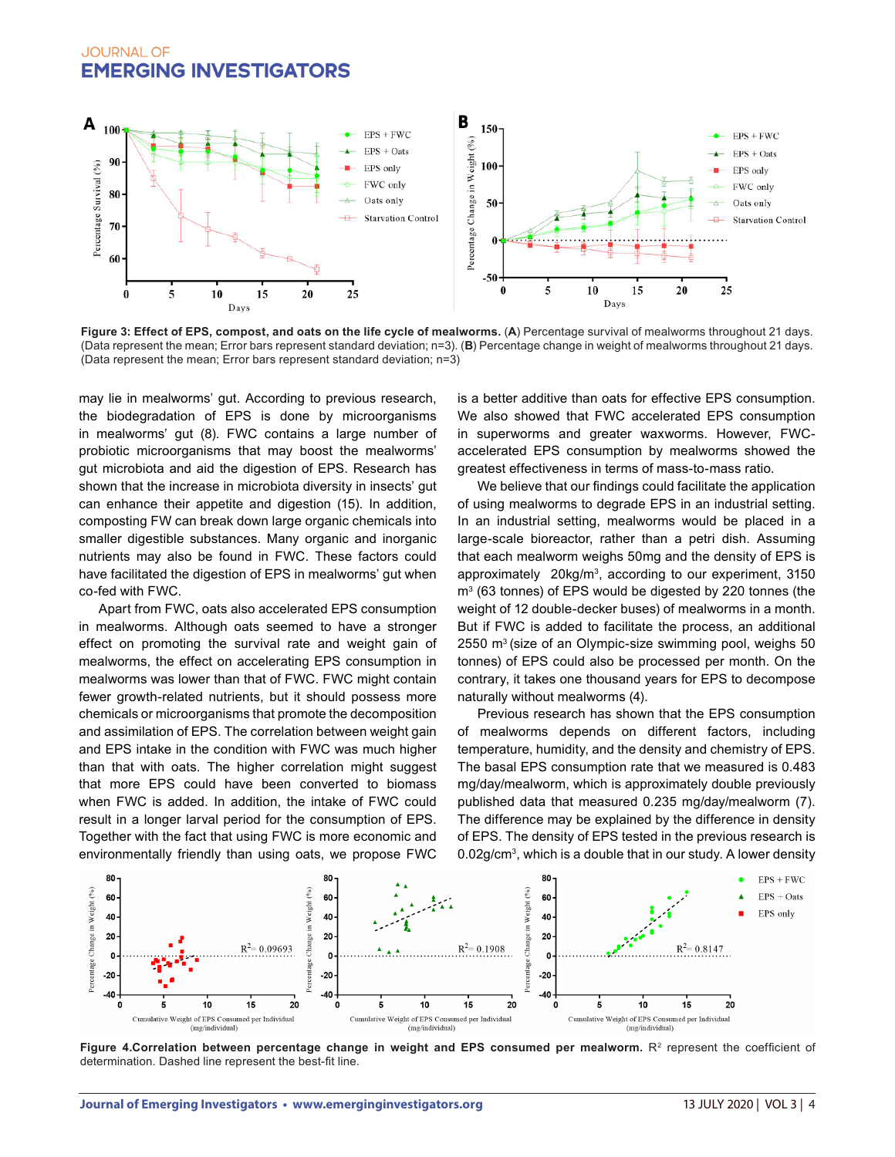

Figure 3: Effect of EPS, compost, and oats on the life cycle of mealworms. (A) Percentage survival of mealworms throughout 21 days. (Data represent the mean; Error bars represent standard deviation; n=3). (**B**) Percentage change in weight of mealworms throughout 21 days. (Data represent the mean; Error bars represent standard deviation; n=3)

may lie in mealworms' gut. According to previous research, the biodegradation of EPS is done by microorganisms in mealworms' gut (8). FWC contains a large number of probiotic microorganisms that may boost the mealworms' gut microbiota and aid the digestion of EPS. Research has shown that the increase in microbiota diversity in insects' gut can enhance their appetite and digestion (15). In addition, composting FW can break down large organic chemicals into smaller digestible substances. Many organic and inorganic nutrients may also be found in FWC. These factors could have facilitated the digestion of EPS in mealworms' gut when co-fed with FWC.

Apart from FWC, oats also accelerated EPS consumption in mealworms. Although oats seemed to have a stronger effect on promoting the survival rate and weight gain of mealworms, the effect on accelerating EPS consumption in mealworms was lower than that of FWC. FWC might contain fewer growth-related nutrients, but it should possess more chemicals or microorganisms that promote the decomposition and assimilation of EPS. The correlation between weight gain and EPS intake in the condition with FWC was much higher than that with oats. The higher correlation might suggest that more EPS could have been converted to biomass when FWC is added. In addition, the intake of FWC could result in a longer larval period for the consumption of EPS. Together with the fact that using FWC is more economic and environmentally friendly than using oats, we propose FWC

is a better additive than oats for effective EPS consumption. We also showed that FWC accelerated EPS consumption in superworms and greater waxworms. However, FWCaccelerated EPS consumption by mealworms showed the greatest effectiveness in terms of mass-to-mass ratio.

We believe that our findings could facilitate the application of using mealworms to degrade EPS in an industrial setting. In an industrial setting, mealworms would be placed in a large-scale bioreactor, rather than a petri dish. Assuming that each mealworm weighs 50mg and the density of EPS is approximately 20kg/m<sup>3</sup>, according to our experiment, 3150 m3 (63 tonnes) of EPS would be digested by 220 tonnes (the weight of 12 double-decker buses) of mealworms in a month. But if FWC is added to facilitate the process, an additional 2550 m<sup>3</sup> (size of an Olympic-size swimming pool, weighs 50 tonnes) of EPS could also be processed per month. On the contrary, it takes one thousand years for EPS to decompose naturally without mealworms (4).

Previous research has shown that the EPS consumption of mealworms depends on different factors, including temperature, humidity, and the density and chemistry of EPS. The basal EPS consumption rate that we measured is 0.483 mg/day/mealworm, which is approximately double previously published data that measured 0.235 mg/day/mealworm (7). The difference may be explained by the difference in density of EPS. The density of EPS tested in the previous research is 0.02g/cm<sup>3</sup>, which is a double that in our study. A lower density



Figure 4.Correlation between percentage change in weight and EPS consumed per mealworm.  $R^2$  represent the coefficient of determination. Dashed line represent the best-fit line.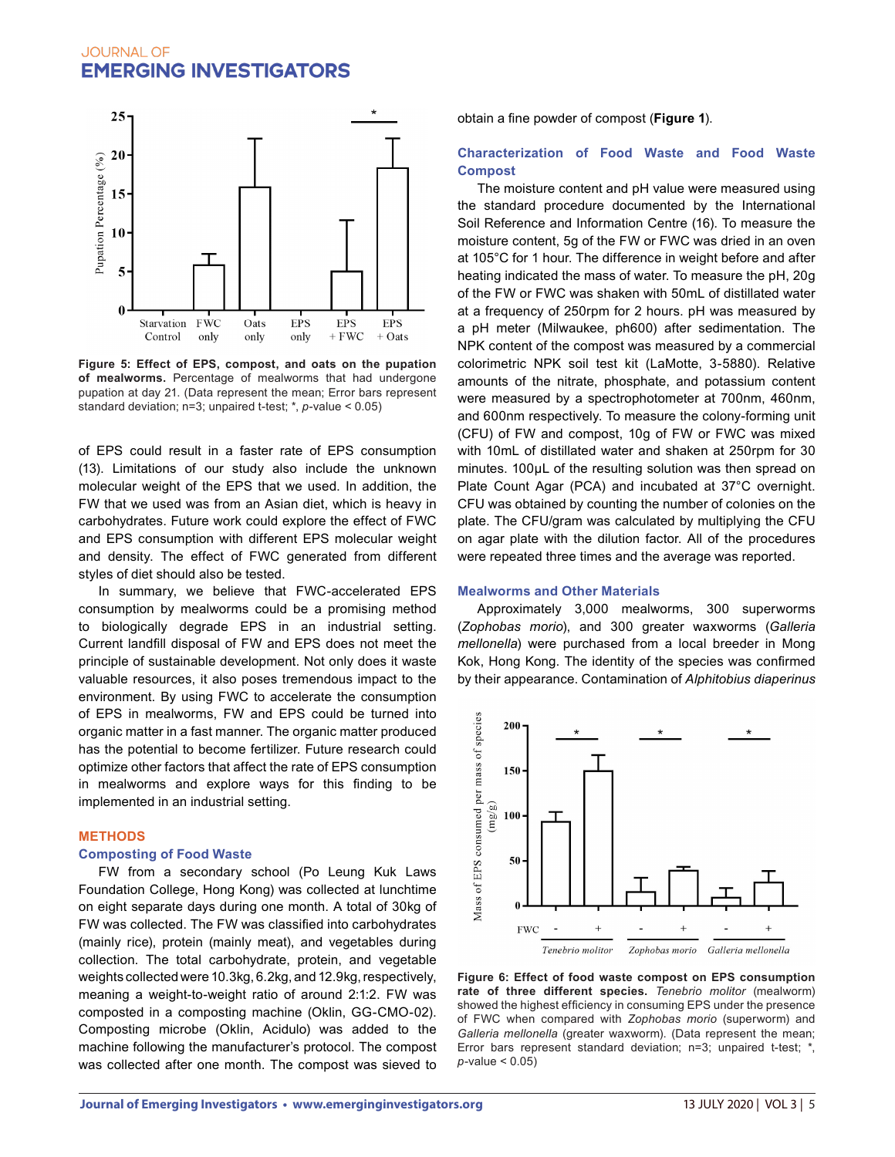

**Figure 5: Effect of EPS, compost, and oats on the pupation of mealworms.** Percentage of mealworms that had undergone pupation at day 21. (Data represent the mean; Error bars represent standard deviation; n=3; unpaired t-test; \*, *p*-value < 0.05)

of EPS could result in a faster rate of EPS consumption (13). Limitations of our study also include the unknown molecular weight of the EPS that we used. In addition, the FW that we used was from an Asian diet, which is heavy in carbohydrates. Future work could explore the effect of FWC and EPS consumption with different EPS molecular weight and density. The effect of FWC generated from different styles of diet should also be tested.

In summary, we believe that FWC-accelerated EPS consumption by mealworms could be a promising method to biologically degrade EPS in an industrial setting. Current landfill disposal of FW and EPS does not meet the principle of sustainable development. Not only does it waste valuable resources, it also poses tremendous impact to the environment. By using FWC to accelerate the consumption of EPS in mealworms, FW and EPS could be turned into organic matter in a fast manner. The organic matter produced has the potential to become fertilizer. Future research could optimize other factors that affect the rate of EPS consumption in mealworms and explore ways for this finding to be implemented in an industrial setting.

# **METHODS**

#### **Composting of Food Waste**

FW from a secondary school (Po Leung Kuk Laws Foundation College, Hong Kong) was collected at lunchtime on eight separate days during one month. A total of 30kg of FW was collected. The FW was classified into carbohydrates (mainly rice), protein (mainly meat), and vegetables during collection. The total carbohydrate, protein, and vegetable weights collected were 10.3kg, 6.2kg, and 12.9kg, respectively, meaning a weight-to-weight ratio of around 2:1:2. FW was composted in a composting machine (Oklin, GG-CMO-02). Composting microbe (Oklin, Acidulo) was added to the machine following the manufacturer's protocol. The compost was collected after one month. The compost was sieved to

obtain a fine powder of compost (**Figure 1**).

# **Characterization of Food Waste and Food Waste Compost**

The moisture content and pH value were measured using the standard procedure documented by the International Soil Reference and Information Centre (16). To measure the moisture content, 5g of the FW or FWC was dried in an oven at 105°C for 1 hour. The difference in weight before and after heating indicated the mass of water. To measure the pH, 20g of the FW or FWC was shaken with 50mL of distillated water at a frequency of 250rpm for 2 hours. pH was measured by a pH meter (Milwaukee, ph600) after sedimentation. The NPK content of the compost was measured by a commercial colorimetric NPK soil test kit (LaMotte, 3-5880). Relative amounts of the nitrate, phosphate, and potassium content were measured by a spectrophotometer at 700nm, 460nm, and 600nm respectively. To measure the colony-forming unit (CFU) of FW and compost, 10g of FW or FWC was mixed with 10mL of distillated water and shaken at 250rpm for 30 minutes. 100µL of the resulting solution was then spread on Plate Count Agar (PCA) and incubated at 37°C overnight. CFU was obtained by counting the number of colonies on the plate. The CFU/gram was calculated by multiplying the CFU on agar plate with the dilution factor. All of the procedures were repeated three times and the average was reported.

#### **Mealworms and Other Materials**

Approximately 3,000 mealworms, 300 superworms (*Zophobas morio*), and 300 greater waxworms (*Galleria mellonella*) were purchased from a local breeder in Mong Kok, Hong Kong. The identity of the species was confirmed by their appearance. Contamination of *Alphitobius diaperinus*



**Figure 6: Effect of food waste compost on EPS consumption rate of three different species.** *Tenebrio molitor* (mealworm) showed the highest efficiency in consuming EPS under the presence of FWC when compared with *Zophobas morio* (superworm) and *Galleria mellonella* (greater waxworm). (Data represent the mean; Error bars represent standard deviation; n=3; unpaired t-test; \*, *p*-value < 0.05)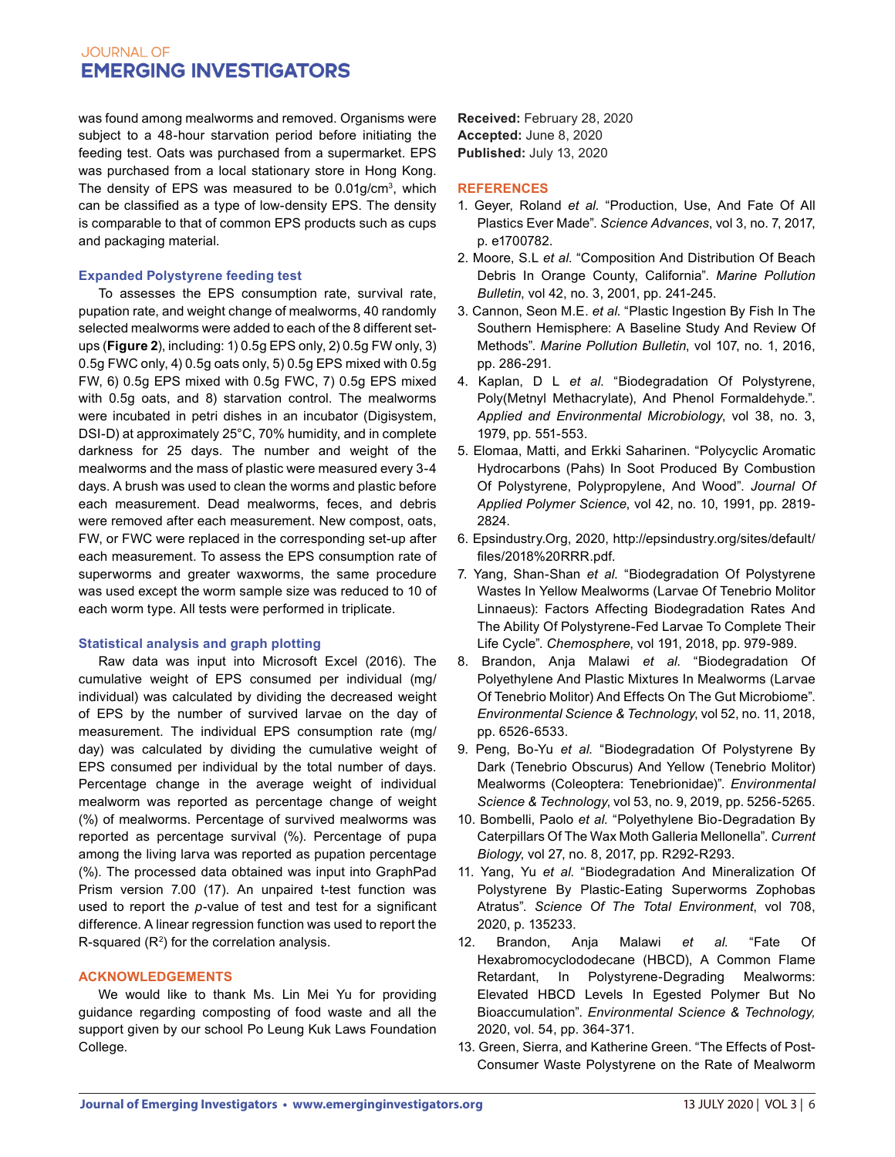was found among mealworms and removed. Organisms were subject to a 48-hour starvation period before initiating the feeding test. Oats was purchased from a supermarket. EPS was purchased from a local stationary store in Hong Kong. The density of EPS was measured to be  $0.01$ g/cm<sup>3</sup>, which can be classified as a type of low-density EPS. The density is comparable to that of common EPS products such as cups and packaging material.

# **Expanded Polystyrene feeding test**

To assesses the EPS consumption rate, survival rate, pupation rate, and weight change of mealworms, 40 randomly selected mealworms were added to each of the 8 different setups (**Figure 2**), including: 1) 0.5g EPS only, 2) 0.5g FW only, 3) 0.5g FWC only, 4) 0.5g oats only, 5) 0.5g EPS mixed with 0.5g FW, 6) 0.5g EPS mixed with 0.5g FWC, 7) 0.5g EPS mixed with 0.5g oats, and 8) starvation control. The mealworms were incubated in petri dishes in an incubator (Digisystem, DSI-D) at approximately 25°C, 70% humidity, and in complete darkness for 25 days. The number and weight of the mealworms and the mass of plastic were measured every 3-4 days. A brush was used to clean the worms and plastic before each measurement. Dead mealworms, feces, and debris were removed after each measurement. New compost, oats, FW, or FWC were replaced in the corresponding set-up after each measurement. To assess the EPS consumption rate of superworms and greater waxworms, the same procedure was used except the worm sample size was reduced to 10 of each worm type. All tests were performed in triplicate.

# **Statistical analysis and graph plotting**

Raw data was input into Microsoft Excel (2016). The cumulative weight of EPS consumed per individual (mg/ individual) was calculated by dividing the decreased weight of EPS by the number of survived larvae on the day of measurement. The individual EPS consumption rate (mg/ day) was calculated by dividing the cumulative weight of EPS consumed per individual by the total number of days. Percentage change in the average weight of individual mealworm was reported as percentage change of weight (%) of mealworms. Percentage of survived mealworms was reported as percentage survival (%). Percentage of pupa among the living larva was reported as pupation percentage (%). The processed data obtained was input into GraphPad Prism version 7.00 (17). An unpaired t-test function was used to report the *p-*value of test and test for a significant difference. A linear regression function was used to report the R-squared  $(R^2)$  for the correlation analysis.

#### **ACKNOWLEDGEMENTS**

We would like to thank Ms. Lin Mei Yu for providing guidance regarding composting of food waste and all the support given by our school Po Leung Kuk Laws Foundation College.

**Received:** February 28, 2020 **Accepted:** June 8, 2020 **Published:** July 13, 2020

### **REFERENCES**

- 1. Geyer, Roland *et al*. "Production, Use, And Fate Of All Plastics Ever Made". *Science Advances*, vol 3, no. 7, 2017, p. e1700782.
- 2. Moore, S.L *et al*. "Composition And Distribution Of Beach Debris In Orange County, California". *Marine Pollution Bulletin*, vol 42, no. 3, 2001, pp. 241-245.
- 3. Cannon, Seon M.E. *et al*. "Plastic Ingestion By Fish In The Southern Hemisphere: A Baseline Study And Review Of Methods". *Marine Pollution Bulletin*, vol 107, no. 1, 2016, pp. 286-291.
- 4. Kaplan, D L *et al*. "Biodegradation Of Polystyrene, Poly(Metnyl Methacrylate), And Phenol Formaldehyde.". *Applied and Environmental Microbiology*, vol 38, no. 3, 1979, pp. 551-553.
- 5. Elomaa, Matti, and Erkki Saharinen. "Polycyclic Aromatic Hydrocarbons (Pahs) In Soot Produced By Combustion Of Polystyrene, Polypropylene, And Wood". *Journal Of Applied Polymer Science*, vol 42, no. 10, 1991, pp. 2819- 2824.
- 6. Epsindustry.Org, 2020, http://epsindustry.org/sites/default/ files/2018%20RRR.pdf.
- 7. Yang, Shan-Shan *et al*. "Biodegradation Of Polystyrene Wastes In Yellow Mealworms (Larvae Of Tenebrio Molitor Linnaeus): Factors Affecting Biodegradation Rates And The Ability Of Polystyrene-Fed Larvae To Complete Their Life Cycle". *Chemosphere*, vol 191, 2018, pp. 979-989.
- 8. Brandon, Anja Malawi *et al*. "Biodegradation Of Polyethylene And Plastic Mixtures In Mealworms (Larvae Of Tenebrio Molitor) And Effects On The Gut Microbiome". *Environmental Science & Technology*, vol 52, no. 11, 2018, pp. 6526-6533.
- 9. Peng, Bo-Yu *et al*. "Biodegradation Of Polystyrene By Dark (Tenebrio Obscurus) And Yellow (Tenebrio Molitor) Mealworms (Coleoptera: Tenebrionidae)". *Environmental Science & Technology*, vol 53, no. 9, 2019, pp. 5256-5265.
- 10. Bombelli, Paolo *et al.* "Polyethylene Bio-Degradation By Caterpillars Of The Wax Moth Galleria Mellonella". *Current Biology*, vol 27, no. 8, 2017, pp. R292-R293.
- 11. Yang, Yu *et al*. "Biodegradation And Mineralization Of Polystyrene By Plastic-Eating Superworms Zophobas Atratus". *Science Of The Total Environment*, vol 708, 2020, p. 135233.
- 12. Brandon, Anja Malawi *et al*. "Fate Of Hexabromocyclododecane (HBCD), A Common Flame Retardant, In Polystyrene-Degrading Mealworms: Elevated HBCD Levels In Egested Polymer But No Bioaccumulation". *Environmental Science & Technology,* 2020, vol. 54, pp. 364-371.
- 13. Green, Sierra, and Katherine Green. "The Effects of Post-Consumer Waste Polystyrene on the Rate of Mealworm